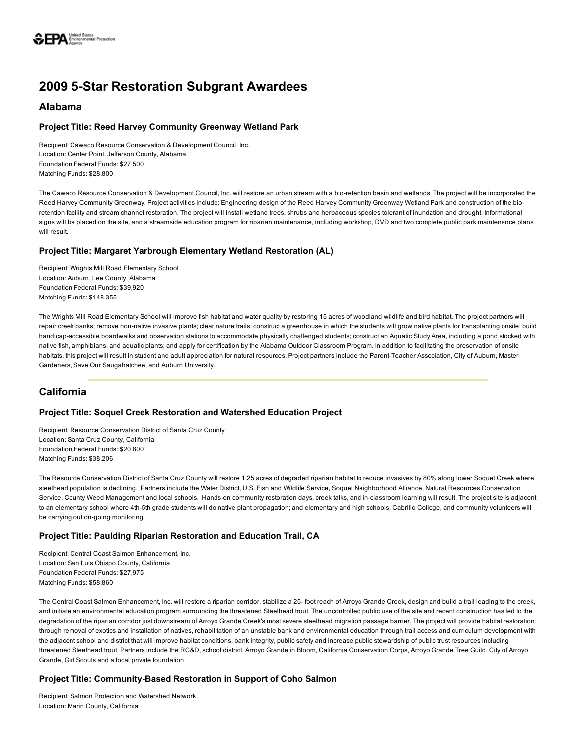

# 2009 5-Star Restoration Subgrant Awardees

## Alabama

### Project Title: Reed Harvey Community Greenway Wetland Park

Recipient: Cawaco Resource Conservation & Development Council, Inc. Location: Center Point, Jefferson County, Alabama Foundation Federal Funds: \$27,500 Matching Funds: \$28,800

The Cawaco Resource Conservation & Development Council, Inc. will restore an urban stream with a bio-retention basin and wetlands. The project will be incorporated the Reed Harvey Community Greenway. Project activities include: Engineering design of the Reed Harvey Community Greenway Wetland Park and construction of the bioretention facility and stream channel restoration. The project will install wetland trees, shrubs and herbaceous species tolerant of inundation and drought. Informational signs will be placed on the site, and a streamside education program for riparian maintenance, including workshop, DVD and two complete public park maintenance plans will result.

### Project Title: Margaret Yarbrough Elementary Wetland Restoration (AL)

Recipient: Wrights Mill Road Elementary School Location: Auburn, Lee County, Alabama Foundation Federal Funds: \$39,920 Matching Funds: \$148,355

The Wrights Mill Road Elementary School will improve fish habitat and water quality by restoring 15 acres of woodland wildlife and bird habitat. The project partners will repair creek banks; remove non-native invasive plants; clear nature trails; construct a greenhouse in which the students will grow native plants for transplanting onsite; build handicap-accessible boardwalks and observation stations to accommodate physically challenged students; construct an Aquatic Study Area, including a pond stocked with native fish, amphibians, and aquatic plants; and apply for certification by the Alabama Outdoor Classroom Program. In addition to facilitating the preservation of onsite habitats, this project will result in student and adult appreciation for natural resources. Project partners include the Parent-Teacher Association, City of Auburn, Master Gardeners, Save Our Saugahatchee, and Auburn University.

## California

### Project Title: Soquel Creek Restoration and Watershed Education Project

Recipient: Resource Conservation District of Santa Cruz County Location: Santa Cruz County, California Foundation Federal Funds: \$20,800 Matching Funds: \$38,206

The Resource Conservation District of Santa Cruz County will restore 1.25 acres of degraded riparian habitat to reduce invasives by 80% along lower Soquel Creek where steelhead population is declining. Partners include the Water District, U.S. Fish and Wildlife Service, Soquel Neighborhood Alliance, Natural Resources Conservation Service, County Weed Management and local schools. Hands-on community restoration days, creek talks, and in-classroom learning will result. The project site is adjacent to an elementary school where 4th-5th grade students will do native plant propagation; and elementary and high schools, Cabrillo College, and community volunteers will be carrying out on-going monitoring.

#### Project Title: Paulding Riparian Restoration and Education Trail, CA

Recipient: Central Coast Salmon Enhancement, Inc. Location: San Luis Obispo County, California Foundation Federal Funds: \$27,975 Matching Funds: \$58,860

The Central Coast Salmon Enhancement, Inc. will restore a riparian corridor, stabilize a 25 foot reach of Arroyo Grande Creek, design and build a trail leading to the creek, and initiate an environmental education program surrounding the threatened Steelhead trout. The uncontrolled public use of the site and recent construction has led to the degradation of the riparian corridor just downstream of Arroyo Grande Creek's most severe steelhead migration passage barrier. The project will provide habitat restoration through removal of exotics and installation of natives, rehabilitation of an unstable bank and environmental education through trail access and curriculum development with the adjacent school and district that will improve habitat conditions, bank integrity, public safety and increase public stewardship of public trust resources including threatened Steelhead trout. Partners include the RC&D, school district, Arroyo Grande in Bloom, California Conservation Corps, Arroyo Grande Tree Guild, City of Arroyo Grande, Girl Scouts and a local private foundation.

#### Project Title: Community-Based Restoration in Support of Coho Salmon

Recipient: Salmon Protection and Watershed Network Location: Marin County, California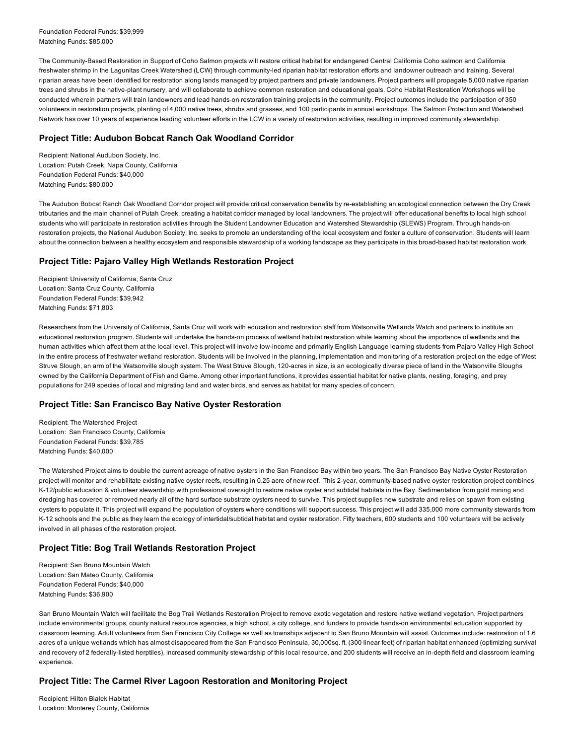Foundation Federal Funds: \$39,999 Matching Funds: \$85,000

The Community-Based Restoration in Support of Coho Salmon projects will restore critical habitat for endangered Central California Coho salmon and California freshwater shrimp in the Lagunitas Creek Watershed (LCW) through communityled riparian habitat restoration efforts and landowner outreach and training. Several riparian areas have been identified for restoration along lands managed by project partners and private landowners. Project partners will propagate 5,000 native riparian trees and shrubs in the native-plant nursery, and will collaborate to achieve common restoration and educational goals. Coho Habitat Restoration Workshops will be conducted wherein partners will train landowners and lead hands-on restoration training projects in the community. Project outcomes include the participation of 350 volunteers in restoration projects, planting of 4,000 native trees, shrubs and grasses, and 100 participants in annual workshops. The Salmon Protection and Watershed Network has over 10 years of experience leading volunteer efforts in the LCW in a variety of restoration activities, resulting in improved community stewardship.

#### Project Title: Audubon Bobcat Ranch Oak Woodland Corridor

Recipient: National Audubon Society, Inc. Location: Putah Creek, Napa County, California Foundation Federal Funds: \$40,000 Matching Funds: \$80,000

The Audubon Bobcat Ranch Oak Woodland Corridor project will provide critical conservation benefits by re-establishing an ecological connection between the Dry Creek tributaries and the main channel of Putah Creek, creating a habitat corridor managed by local landowners. The project will offer educational benefits to local high school students who will participate in restoration activities through the Student Landowner Education and Watershed Stewardship (SLEWS) Program. Through hands-on restoration projects, the National Audubon Society, Inc. seeks to promote an understanding of the local ecosystem and foster a culture of conservation. Students will learn about the connection between a healthy ecosystem and responsible stewardship of a working landscape as they participate in this broad-based habitat restoration work.

#### Project Title: Pajaro Valley High Wetlands Restoration Project

Recipient: University of California, Santa Cruz Location: Santa Cruz County, California Foundation Federal Funds: \$39,942 Matching Funds: \$71,803

Researchers from the University of California, Santa Cruz will work with education and restoration staff from Watsonville Wetlands Watch and partners to institute an educational restoration program. Students will undertake the hands-on process of wetland habitat restoration while learning about the importance of wetlands and the human activities which affect them at the local level. This project will involve lowincome and primarily English Language learning students from Pajaro Valley High School in the entire process of freshwater wetland restoration. Students will be involved in the planning, implementation and monitoring of a restoration project on the edge of West Struve Slough, an arm of the Watsonville slough system. The West Struve Slough, 120-acres in size, is an ecologically diverse piece of land in the Watsonville Sloughs owned by the California Department of Fish and Game. Among other important functions, it provides essential habitat for native plants, nesting, foraging, and prey populations for 249 species of local and migrating land and water birds, and serves as habitat for many species of concern.

#### Project Title: San Francisco Bay Native Oyster Restoration

Recipient: The Watershed Project Location: San Francisco County, California Foundation Federal Funds: \$39,785 Matching Funds: \$40,000

The Watershed Project aims to double the current acreage of native oysters in the San Francisco Bay within two years. The San Francisco Bay Native Oyster Restoration project will monitor and rehabilitate existing native oyster reefs, resulting in 0.25 acre of new reef. This 2-year, community-based native oyster restoration project combines K12/public education & volunteer stewardship with professional oversight to restore native oyster and subtidal habitats in the Bay. Sedimentation from gold mining and dredging has covered or removed nearly all of the hard surface substrate oysters need to survive. This project supplies new substrate and relies on spawn from existing oysters to populate it. This project will expand the population of oysters where conditions will support success. This project will add 335,000 more community stewards from K-12 schools and the public as they learn the ecology of intertidal/subtidal habitat and oyster restoration. Fifty teachers, 600 students and 100 volunteers will be actively involved in all phases of the restoration project.

#### Project Title: Bog Trail Wetlands Restoration Project

Recipient: San Bruno Mountain Watch Location: San Mateo County, California Foundation Federal Funds: \$40,000 Matching Funds: \$36,900

San Bruno Mountain Watch will facilitate the Bog Trail Wetlands Restoration Project to remove exotic vegetation and restore native wetland vegetation. Project partners include environmental groups, county natural resource agencies, a high school, a city college, and funders to provide hands-on environmental education supported by classroom learning. Adult volunteers from San Francisco City College as well as townships adjacent to San Bruno Mountain will assist. Outcomes include: restoration of 1.6 acres of a unique wetlands which has almost disappeared from the San Francisco Peninsula, 30,000sq. ft. (300 linear feet) of riparian habitat enhanced (optimizing survival and recovery of 2 federally-listed herptiles), increased community stewardship of this local resource, and 200 students will receive an in-depth field and classroom learning experience.

#### Project Title: The Carmel River Lagoon Restoration and Monitoring Project

Recipient: Hilton Bialek Habitat Location: Monterey County, California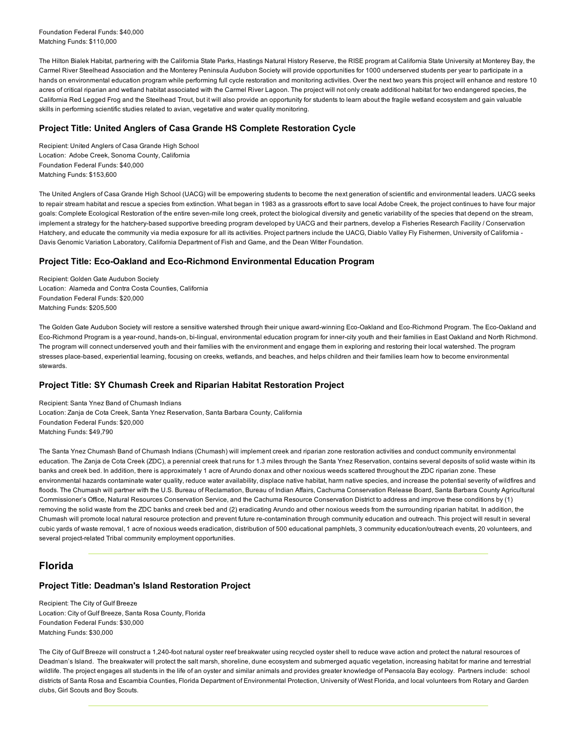Foundation Federal Funds: \$40,000 Matching Funds: \$110,000

The Hilton Bialek Habitat, partnering with the California State Parks, Hastings Natural History Reserve, the RISE program at California State University at Monterey Bay, the Carmel River Steelhead Association and the Monterey Peninsula Audubon Society will provide opportunities for 1000 underserved students per year to participate in a hands on environmental education program while performing full cycle restoration and monitoring activities. Over the next two years this project will enhance and restore 10 acres of critical riparian and wetland habitat associated with the Carmel River Lagoon. The project will not only create additional habitat for two endangered species, the California Red Legged Frog and the Steelhead Trout, but it will also provide an opportunity for students to learn about the fragile wetland ecosystem and gain valuable skills in performing scientific studies related to avian, vegetative and water quality monitoring.

#### Project Title: United Anglers of Casa Grande HS Complete Restoration Cycle

Recipient: United Anglers of Casa Grande High School Location: Adobe Creek, Sonoma County, California Foundation Federal Funds: \$40,000 Matching Funds: \$153,600

The United Anglers of Casa Grande High School (UACG) will be empowering students to become the next generation of scientific and environmental leaders. UACG seeks to repair stream habitat and rescue a species from extinction. What began in 1983 as a grassroots effort to save local Adobe Creek, the project continues to have four major goals: Complete Ecological Restoration of the entire seven-mile long creek, protect the biological diversity and genetic variability of the species that depend on the stream, implement a strategy for the hatchery-based supportive breeding program developed by UACG and their partners, develop a Fisheries Research Facility / Conservation Hatchery, and educate the community via media exposure for all its activities. Project partners include the UACG, Diablo Valley Fly Fishermen, University of California -Davis Genomic Variation Laboratory, California Department of Fish and Game, and the Dean Witter Foundation.

#### Project Title: Eco-Oakland and Eco-Richmond Environmental Education Program

Recipient: Golden Gate Audubon Society Location: Alameda and Contra Costa Counties, California Foundation Federal Funds: \$20,000 Matching Funds: \$205,500

The Golden Gate Audubon Society will restore a sensitive watershed through their unique award-winning Eco-Oakland and Eco-Richmond Program. The Eco-Oakland and Eco-Richmond Program is a year-round, hands-on, bi-lingual, environmental education program for inner-city youth and their families in East Oakland and North Richmond. The program will connect underserved youth and their families with the environment and engage them in exploring and restoring their local watershed. The program stresses place-based, experiential learning, focusing on creeks, wetlands, and beaches, and helps children and their families learn how to become environmental stewards.

#### Project Title: SY Chumash Creek and Riparian Habitat Restoration Project

Recipient: Santa Ynez Band of Chumash Indians Location: Zanja de Cota Creek, Santa Ynez Reservation, Santa Barbara County, California Foundation Federal Funds: \$20,000 Matching Funds: \$49,790

The Santa Ynez Chumash Band of Chumash Indians (Chumash) will implement creek and riparian zone restoration activities and conduct community environmental education. The Zanja de Cota Creek (ZDC), a perennial creek that runs for 1.3 miles through the Santa Ynez Reservation, contains several deposits of solid waste within its banks and creek bed. In addition, there is approximately 1 acre of Arundo donax and other noxious weeds scattered throughout the ZDC riparian zone. These environmental hazards contaminate water quality, reduce water availability, displace native habitat, harm native species, and increase the potential severity of wildfires and floods. The Chumash will partner with the U.S. Bureau of Reclamation, Bureau of Indian Affairs, Cachuma Conservation Release Board, Santa Barbara County Agricultural Commissioner's Office, Natural Resources Conservation Service, and the Cachuma Resource Conservation District to address and improve these conditions by (1) removing the solid waste from the ZDC banks and creek bed and (2) eradicating Arundo and other noxious weeds from the surrounding riparian habitat. In addition, the Chumash will promote local natural resource protection and prevent future recontamination through community education and outreach. This project will result in several cubic yards of waste removal, 1 acre of noxious weeds eradication, distribution of 500 educational pamphlets, 3 community education/outreach events, 20 volunteers, and several project-related Tribal community employment opportunities.

## Florida

## Project Title: Deadman's Island Restoration Project

Recipient: The City of Gulf Breeze Location: City of Gulf Breeze, Santa Rosa County, Florida Foundation Federal Funds: \$30,000 Matching Funds: \$30,000

The City of Gulf Breeze will construct a 1,240-foot natural oyster reef breakwater using recycled oyster shell to reduce wave action and protect the natural resources of Deadman's Island. The breakwater will protect the salt marsh, shoreline, dune ecosystem and submerged aquatic vegetation, increasing habitat for marine and terrestrial wildlife. The project engages all students in the life of an oyster and similar animals and provides greater knowledge of Pensacola Bay ecology. Partners include: school districts of Santa Rosa and Escambia Counties, Florida Department of Environmental Protection, University of West Florida, and local volunteers from Rotary and Garden clubs, Girl Scouts and Boy Scouts.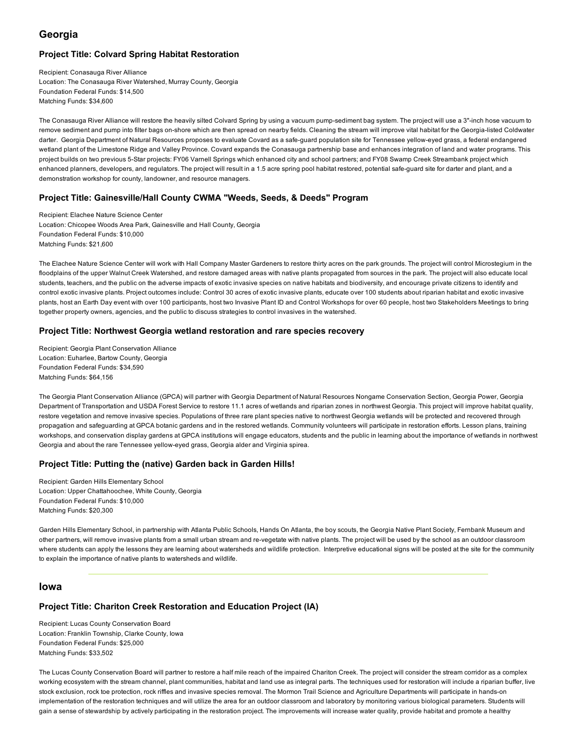## Georgia

### Project Title: Colvard Spring Habitat Restoration

Recipient: Conasauga River Alliance Location: The Conasauga River Watershed, Murray County, Georgia Foundation Federal Funds: \$14,500 Matching Funds: \$34,600

The Conasauga River Alliance will restore the heavily silted Colvard Spring by using a vacuum pump-sediment bag system. The project will use a 3"-inch hose vacuum to remove sediment and pump into filter bags on-shore which are then spread on nearby fields. Cleaning the stream will improve vital habitat for the Georgia-listed Coldwater darter. Georgia Department of Natural Resources proposes to evaluate Covard as a safe-guard population site for Tennessee yellow-eyed grass, a federal endangered wetland plant of the Limestone Ridge and Valley Province. Covard expands the Conasauga partnership base and enhances integration of land and water programs. This project builds on two previous 5-Star projects: FY06 Varnell Springs which enhanced city and school partners; and FY08 Swamp Creek Streambank project which enhanced planners, developers, and regulators. The project will result in a 1.5 acre spring pool habitat restored, potential safe-guard site for darter and plant, and a demonstration workshop for county, landowner, and resource managers.

#### Project Title: Gainesville/Hall County CWMA "Weeds, Seeds, & Deeds" Program

Recipient: Elachee Nature Science Center Location: Chicopee Woods Area Park, Gainesville and Hall County, Georgia Foundation Federal Funds: \$10,000 Matching Funds: \$21,600

The Elachee Nature Science Center will work with Hall Company Master Gardeners to restore thirty acres on the park grounds. The project will control Microstegium in the floodplains of the upper Walnut Creek Watershed, and restore damaged areas with native plants propagated from sources in the park. The project will also educate local students, teachers, and the public on the adverse impacts of exotic invasive species on native habitats and biodiversity, and encourage private citizens to identify and control exotic invasive plants. Project outcomes include: Control 30 acres of exotic invasive plants, educate over 100 students about riparian habitat and exotic invasive plants, host an Earth Day event with over 100 participants, host two Invasive Plant ID and Control Workshops for over 60 people, host two Stakeholders Meetings to bring together property owners, agencies, and the public to discuss strategies to control invasives in the watershed.

#### Project Title: Northwest Georgia wetland restoration and rare species recovery

Recipient: Georgia Plant Conservation Alliance Location: Euharlee, Bartow County, Georgia Foundation Federal Funds: \$34,590 Matching Funds: \$64,156

The Georgia Plant Conservation Alliance (GPCA) will partner with Georgia Department of Natural Resources Nongame Conservation Section, Georgia Power, Georgia Department of Transportation and USDA Forest Service to restore 11.1 acres of wetlands and riparian zones in northwest Georgia. This project will improve habitat quality, restore vegetation and remove invasive species. Populations of three rare plant species native to northwest Georgia wetlands will be protected and recovered through propagation and safeguarding at GPCA botanic gardens and in the restored wetlands. Community volunteers will participate in restoration efforts. Lesson plans, training workshops, and conservation display gardens at GPCA institutions will engage educators, students and the public in learning about the importance of wetlands in northwest Georgia and about the rare Tennessee yellow-eyed grass, Georgia alder and Virginia spirea.

#### Project Title: Putting the (native) Garden back in Garden Hills!

Recipient: Garden Hills Elementary School Location: Upper Chattahoochee, White County, Georgia Foundation Federal Funds: \$10,000 Matching Funds: \$20,300

Garden Hills Elementary School, in partnership with Atlanta Public Schools, Hands On Atlanta, the boy scouts, the Georgia Native Plant Society, Fernbank Museum and other partners, will remove invasive plants from a small urban stream and revegetate with native plants. The project will be used by the school as an outdoor classroom where students can apply the lessons they are learning about watersheds and wildlife protection. Interpretive educational signs will be posted at the site for the community to explain the importance of native plants to watersheds and wildlife.

#### Iowa

## Project Title: Chariton Creek Restoration and Education Project (IA)

Recipient: Lucas County Conservation Board Location: Franklin Township, Clarke County, Iowa Foundation Federal Funds: \$25,000 Matching Funds: \$33,502

The Lucas County Conservation Board will partner to restore a half mile reach of the impaired Chariton Creek. The project will consider the stream corridor as a complex working ecosystem with the stream channel, plant communities, habitat and land use as integral parts. The techniques used for restoration will include a riparian buffer, live stock exclusion, rock toe protection, rock riffles and invasive species removal. The Mormon Trail Science and Agriculture Departments will participate in hands-on implementation of the restoration techniques and will utilize the area for an outdoor classroom and laboratory by monitoring various biological parameters. Students will gain a sense of stewardship by actively participating in the restoration project. The improvements will increase water quality, provide habitat and promote a healthy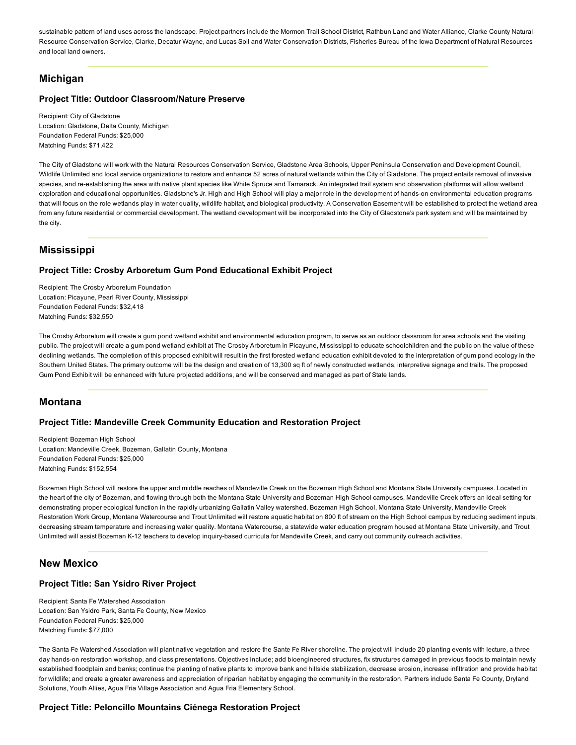sustainable pattern of land uses across the landscape. Project partners include the Mormon Trail School District, Rathbun Land and Water Alliance, Clarke County Natural Resource Conservation Service, Clarke, Decatur Wayne, and Lucas Soil and Water Conservation Districts, Fisheries Bureau of the Iowa Department of Natural Resources and local land owners.

## **Michigan**

#### Project Title: Outdoor Classroom/Nature Preserve

Recipient: City of Gladstone Location: Gladstone, Delta County, Michigan Foundation Federal Funds: \$25,000 Matching Funds: \$71,422

The City of Gladstone will work with the Natural Resources Conservation Service, Gladstone Area Schools, Upper Peninsula Conservation and Development Council, Wildlife Unlimited and local service organizations to restore and enhance 52 acres of natural wetlands within the City of Gladstone. The project entails removal of invasive species, and re-establishing the area with native plant species like White Spruce and Tamarack. An integrated trail system and observation platforms will allow wetland exploration and educational opportunities. Gladstone's Jr. High and High School will play a major role in the development of hands-on environmental education programs that will focus on the role wetlands play in water quality, wildlife habitat, and biological productivity. A Conservation Easement will be established to protect the wetland area from any future residential or commercial development. The wetland development will be incorporated into the City of Gladstone's park system and will be maintained by the city.

## Mississippi

#### Project Title: Crosby Arboretum Gum Pond Educational Exhibit Project

Recipient: The Crosby Arboretum Foundation Location: Picayune, Pearl River County, Mississippi Foundation Federal Funds: \$32,418 Matching Funds: \$32,550

The Crosby Arboretum will create a gum pond wetland exhibit and environmental education program, to serve as an outdoor classroom for area schools and the visiting public. The project will create a gum pond wetland exhibit at The Crosby Arboretum in Picayune, Mississippi to educate schoolchildren and the public on the value of these declining wetlands. The completion of this proposed exhibit will result in the first forested wetland education exhibit devoted to the interpretation of gum pond ecology in the Southern United States. The primary outcome will be the design and creation of 13,300 sq ft of newly constructed wetlands, interpretive signage and trails. The proposed Gum Pond Exhibit will be enhanced with future projected additions, and will be conserved and managed as part of State lands.

### Montana

#### Project Title: Mandeville Creek Community Education and Restoration Project

Recipient: Bozeman High School Location: Mandeville Creek, Bozeman, Gallatin County, Montana Foundation Federal Funds: \$25,000 Matching Funds: \$152,554

Bozeman High School will restore the upper and middle reaches of Mandeville Creek on the Bozeman High School and Montana State University campuses. Located in the heart of the city of Bozeman, and flowing through both the Montana State University and Bozeman High School campuses, Mandeville Creek offers an ideal setting for demonstrating proper ecological function in the rapidly urbanizing Gallatin Valley watershed. Bozeman High School, Montana State University, Mandeville Creek Restoration Work Group, Montana Watercourse and Trout Unlimited will restore aquatic habitat on 800 ft of stream on the High School campus by reducing sediment inputs, decreasing stream temperature and increasing water quality. Montana Watercourse, a statewide water education program housed at Montana State University, and Trout Unlimited will assist Bozeman K-12 teachers to develop inquiry-based curricula for Mandeville Creek, and carry out community outreach activities.

## New Mexico

#### Project Title: San Ysidro River Project

Recipient: Santa Fe Watershed Association Location: San Ysidro Park, Santa Fe County, New Mexico Foundation Federal Funds: \$25,000 Matching Funds: \$77,000

The Santa Fe Watershed Association will plant native vegetation and restore the Sante Fe River shoreline. The project will include 20 planting events with lecture, a three day hands-on restoration workshop, and class presentations. Objectives include; add bioengineered structures, fix structures damaged in previous floods to maintain newly established floodplain and banks; continue the planting of native plants to improve bank and hillside stabilization, decrease erosion, increase infiltration and provide habitat for wildlife; and create a greater awareness and appreciation of riparian habitat by engaging the community in the restoration. Partners include Santa Fe County, Dryland Solutions, Youth Allies, Agua Fria Village Association and Agua Fria Elementary School.

#### Project Title: Peloncillo Mountains Ciénega Restoration Project